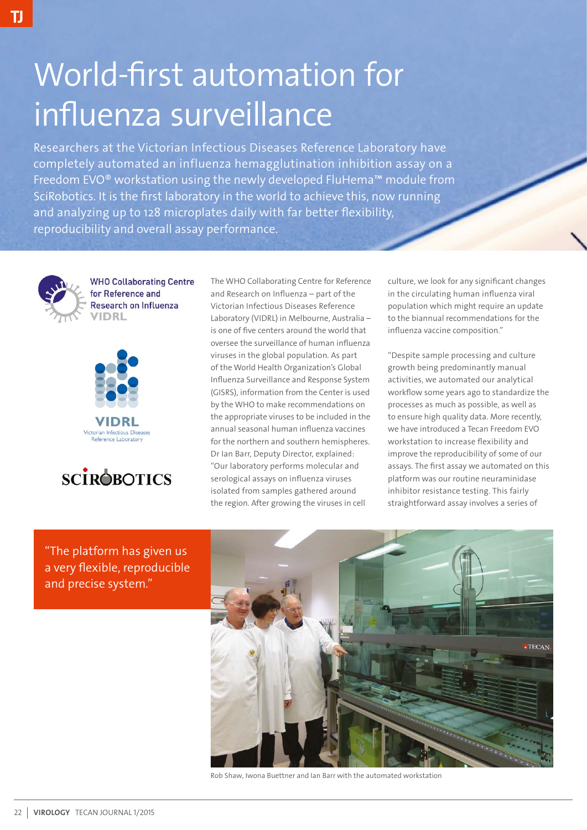## World-first automation for influenza surveillance

Researchers at the Victorian Infectious Diseases Reference Laboratory have completely automated an influenza hemagglutination inhibition assay on a Freedom EVO® workstation using the newly developed FluHema™ module from SciRobotics. It is the first laboratory in the world to achieve this, now running and analyzing up to 128 microplates daily with far better flexibility, reproducibility and overall assay performance.



**WHO Collaborating Centre** for Reference and Research on Influenza VIDRL





The WHO Collaborating Centre for Reference and Research on Influenza – part of the Victorian Infectious Diseases Reference Laboratory (VIDRL) in Melbourne, Australia – is one of five centers around the world that oversee the surveillance of human influenza viruses in the global population. As part of the World Health Organization's Global Influenza Surveillance and Response System (GISRS), information from the Center is used by the WHO to make recommendations on the appropriate viruses to be included in the annual seasonal human influenza vaccines for the northern and southern hemispheres. Dr Ian Barr, Deputy Director, explained: "Our laboratory performs molecular and serological assays on influenza viruses isolated from samples gathered around the region. After growing the viruses in cell

culture, we look for any significant changes in the circulating human influenza viral population which might require an update to the biannual recommendations for the influenza vaccine composition."

"Despite sample processing and culture growth being predominantly manual activities, we automated our analytical workflow some years ago to standardize the processes as much as possible, as well as to ensure high quality data. More recently, we have introduced a Tecan Freedom EVO workstation to increase flexibility and improve the reproducibility of some of our assays. The first assay we automated on this platform was our routine neuraminidase inhibitor resistance testing. This fairly straightforward assay involves a series of

"The platform has given us a very flexible, reproducible and precise system."



Rob Shaw, Iwona Buettner and Ian Barr with the automated workstation